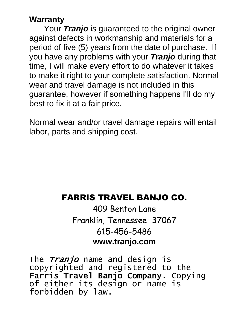#### **Warranty**

Your *Tranjo* is guaranteed to the original owner against defects in workmanship and materials for a period of five (5) years from the date of purchase. If you have any problems with your *Tranjo* during that time, I will make every effort to do whatever it takes to make it right to your complete satisfaction. Normal wear and travel damage is not included in this guarantee, however if something happens I'll do my best to fix it at a fair price.

Normal wear and/or travel damage repairs will entail labor, parts and shipping cost.

#### FARRIS TRAVEL BANJO CO.

409 Benton Lane Franklin, Tennessee 37067 615-456-5486 **www.tranjo.com**

The *Tranjo* name and design is copyrighted and registered to the Farris Travel Banjo Company. Copying of either its design or name is forbidden by law.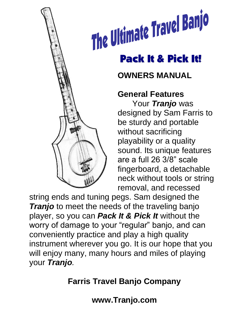

# The Ultimate Travel Banjo

# Pack It & Pick It!

## **OWNERS MANUAL**

#### **General Features**

Your *Tranjo* was designed by Sam Farris to be sturdy and portable without sacrificing playability or a quality sound. Its unique features are a full 26 3/8" scale fingerboard, a detachable neck without tools or string removal, and recessed

string ends and tuning pegs. Sam designed the **Tranjo** to meet the needs of the traveling banjo player, so you can *Pack It & Pick It* without the worry of damage to your "regular" banjo, and can conveniently practice and play a high quality instrument wherever you go. It is our hope that you will enjoy many, many hours and miles of playing your *Tranjo.*

## **Farris Travel Banjo Company**

**www.Tranjo.com**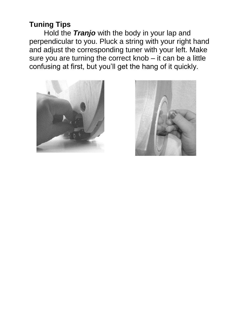#### **Tuning Tips**

Hold the *Tranjo* with the body in your lap and perpendicular to you. Pluck a string with your right hand and adjust the corresponding tuner with your left. Make sure you are turning the correct knob – it can be a little confusing at first, but you'll get the hang of it quickly.



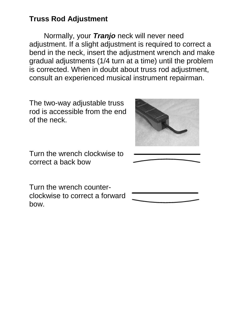#### **Truss Rod Adjustment**

Normally, your *Tranjo* neck will never need adjustment. If a slight adjustment is required to correct a bend in the neck, insert the adjustment wrench and make gradual adjustments (1/4 turn at a time) until the problem is corrected. When in doubt about truss rod adjustment, consult an experienced musical instrument repairman.

The two-way adjustable truss rod is accessible from the end of the neck.



Turn the wrench clockwise to correct a back bow

Turn the wrench counterclockwise to correct a forward bow.

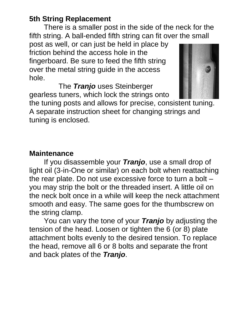#### **5th String Replacement**

There is a smaller post in the side of the neck for the fifth string. A ball-ended fifth string can fit over the small

post as well, or can just be held in place by friction behind the access hole in the fingerboard. Be sure to feed the fifth string over the metal string guide in the access hole.

The *Tranjo* uses Steinberger gearless tuners, which lock the strings onto



the tuning posts and allows for precise, consistent tuning. A separate instruction sheet for changing strings and tuning is enclosed.

#### **Maintenance**

If you disassemble your *Tranjo*, use a small drop of light oil (3-in-One or similar) on each bolt when reattaching the rear plate. Do not use excessive force to turn a bolt – you may strip the bolt or the threaded insert. A little oil on the neck bolt once in a while will keep the neck attachment smooth and easy. The same goes for the thumbscrew on the string clamp.

You can vary the tone of your *Tranjo* by adjusting the tension of the head. Loosen or tighten the 6 (or 8) plate attachment bolts evenly to the desired tension. To replace the head, remove all 6 or 8 bolts and separate the front and back plates of the *Tranjo*.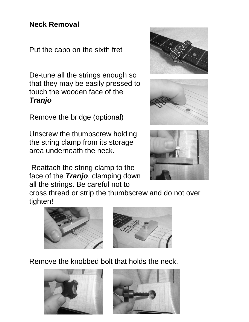#### **Neck Removal**

Put the capo on the sixth fret

De-tune all the strings enough so that they may be easily pressed to touch the wooden face of the *Tranjo*

Remove the bridge (optional)

Unscrew the thumbscrew holding the string clamp from its storage area underneath the neck.

Reattach the string clamp to the face of the *Tranjo*, clamping down all the strings. Be careful not to

cross thread or strip the thumbscrew and do not over tighten!





Remove the knobbed bolt that holds the neck.









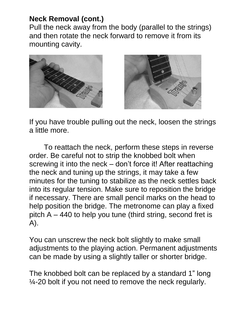#### **Neck Removal (cont.)**

Pull the neck away from the body (parallel to the strings) and then rotate the neck forward to remove it from its mounting cavity.





If you have trouble pulling out the neck, loosen the strings a little more.

To reattach the neck, perform these steps in reverse order. Be careful not to strip the knobbed bolt when screwing it into the neck – don't force it! After reattaching the neck and tuning up the strings, it may take a few minutes for the tuning to stabilize as the neck settles back into its regular tension. Make sure to reposition the bridge if necessary. There are small pencil marks on the head to help position the bridge. The metronome can play a fixed pitch A – 440 to help you tune (third string, second fret is A).

You can unscrew the neck bolt slightly to make small adjustments to the playing action. Permanent adjustments can be made by using a slightly taller or shorter bridge.

The knobbed bolt can be replaced by a standard 1" long  $\frac{1}{4}$ -20 bolt if you not need to remove the neck regularly.